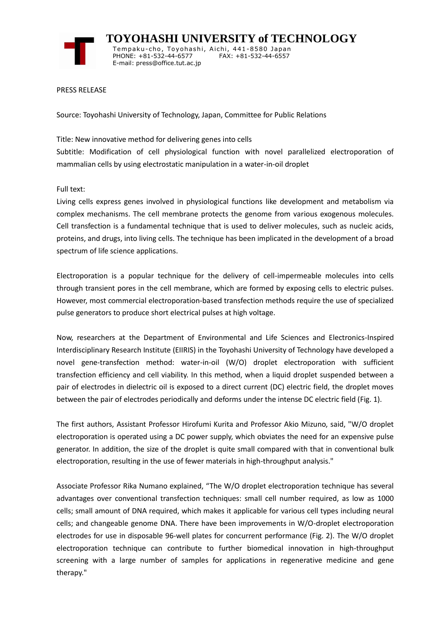

 **TOYOHASHI UNIVERSITY of TECHNOLOGY** Tempaku-cho, Toyohashi, Aichi, 441-8580 Japan<br>PHONE: +81-532-44-6577 FAX: +81-532-44-6557 PHONE: +81-532-44-6577 E-mail: press@office.tut.ac.jp

PRESS RELEASE

Source: Toyohashi University of Technology, Japan, Committee for Public Relations

Title: New innovative method for delivering genes into cells

Subtitle: Modification of cell physiological function with novel parallelized electroporation of mammalian cells by using electrostatic manipulation in a water-in-oil droplet

Full text:

Living cells express genes involved in physiological functions like development and metabolism via complex mechanisms. The cell membrane protects the genome from various exogenous molecules. Cell transfection is a fundamental technique that is used to deliver molecules, such as nucleic acids, proteins, and drugs, into living cells. The technique has been implicated in the development of a broad spectrum of life science applications.

Electroporation is a popular technique for the delivery of cell-impermeable molecules into cells through transient pores in the cell membrane, which are formed by exposing cells to electric pulses. However, most commercial electroporation-based transfection methods require the use of specialized pulse generators to produce short electrical pulses at high voltage.

Now, researchers at the Department of Environmental and Life Sciences and Electronics-Inspired Interdisciplinary Research Institute (EIIRIS) in the Toyohashi University of Technology have developed a novel gene-transfection method: water-in-oil (W/O) droplet electroporation with sufficient transfection efficiency and cell viability. In this method, when a liquid droplet suspended between a pair of electrodes in dielectric oil is exposed to a direct current (DC) electric field, the droplet moves between the pair of electrodes periodically and deforms under the intense DC electric field (Fig. 1).

The first authors, Assistant Professor Hirofumi Kurita and Professor Akio Mizuno, said, "W/O droplet electroporation is operated using a DC power supply, which obviates the need for an expensive pulse generator. In addition, the size of the droplet is quite small compared with that in conventional bulk electroporation, resulting in the use of fewer materials in high-throughput analysis."

Associate Professor Rika Numano explained, "The W/O droplet electroporation technique has several advantages over conventional transfection techniques: small cell number required, as low as 1000 cells; small amount of DNA required, which makes it applicable for various cell types including neural cells; and changeable genome DNA. There have been improvements in W/O-droplet electroporation electrodes for use in disposable 96-well plates for concurrent performance (Fig. 2). The W/O droplet electroporation technique can contribute to further biomedical innovation in high-throughput screening with a large number of samples for applications in regenerative medicine and gene therapy."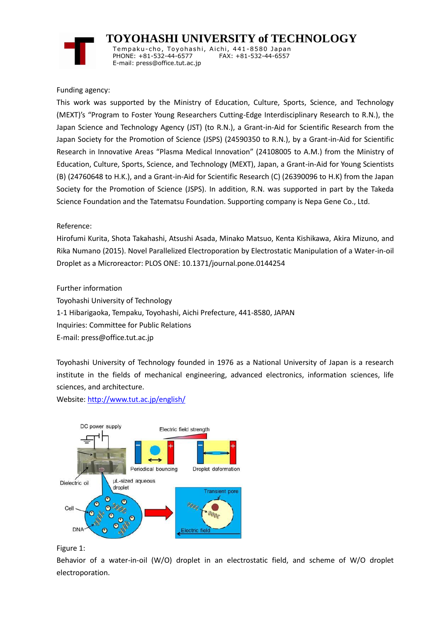

 **TOYOHASHI UNIVERSITY of TECHNOLOGY** Temp aku-cho , To y oha s hi , Ai chi , 441-8580 Jap an PHONE: +81-532-44-6577 E-mail: press@office.tut.ac.jp

## Funding agency:

This work was supported by the Ministry of Education, Culture, Sports, Science, and Technology (MEXT)'s "Program to Foster Young Researchers Cutting-Edge Interdisciplinary Research to R.N.), the Japan Science and Technology Agency (JST) (to R.N.), a Grant-in-Aid for Scientific Research from the Japan Society for the Promotion of Science (JSPS) (24590350 to R.N.), by a Grant-in-Aid for Scientific Research in Innovative Areas "Plasma Medical Innovation" (24108005 to A.M.) from the Ministry of Education, Culture, Sports, Science, and Technology (MEXT), Japan, a Grant-in-Aid for Young Scientists (B) (24760648 to H.K.), and a Grant-in-Aid for Scientific Research (C) (26390096 to H.K) from the Japan Society for the Promotion of Science (JSPS). In addition, R.N. was supported in part by the Takeda Science Foundation and the Tatematsu Foundation. Supporting company is Nepa Gene Co., Ltd.

## Reference:

Hirofumi Kurita, Shota Takahashi, Atsushi Asada, Minako Matsuo, Kenta Kishikawa, Akira Mizuno, and Rika Numano (2015). Novel Parallelized Electroporation by Electrostatic Manipulation of a Water-in-oil Droplet as a Microreactor: PLOS ONE: 10.1371/journal.pone.0144254

Further information

Toyohashi University of Technology

1-1 Hibarigaoka, Tempaku, Toyohashi, Aichi Prefecture, 441-8580, JAPAN

Inquiries: Committee for Public Relations

E-mail: press@office.tut.ac.jp

Toyohashi University of Technology founded in 1976 as a National University of Japan is a research institute in the fields of mechanical engineering, advanced electronics, information sciences, life sciences, and architecture.

Website[: http://www.tut.ac.jp/english/](https://www.tut.ac.jp/english/)



Figure 1:

Behavior of a water-in-oil (W/O) droplet in an electrostatic field, and scheme of W/O droplet electroporation.